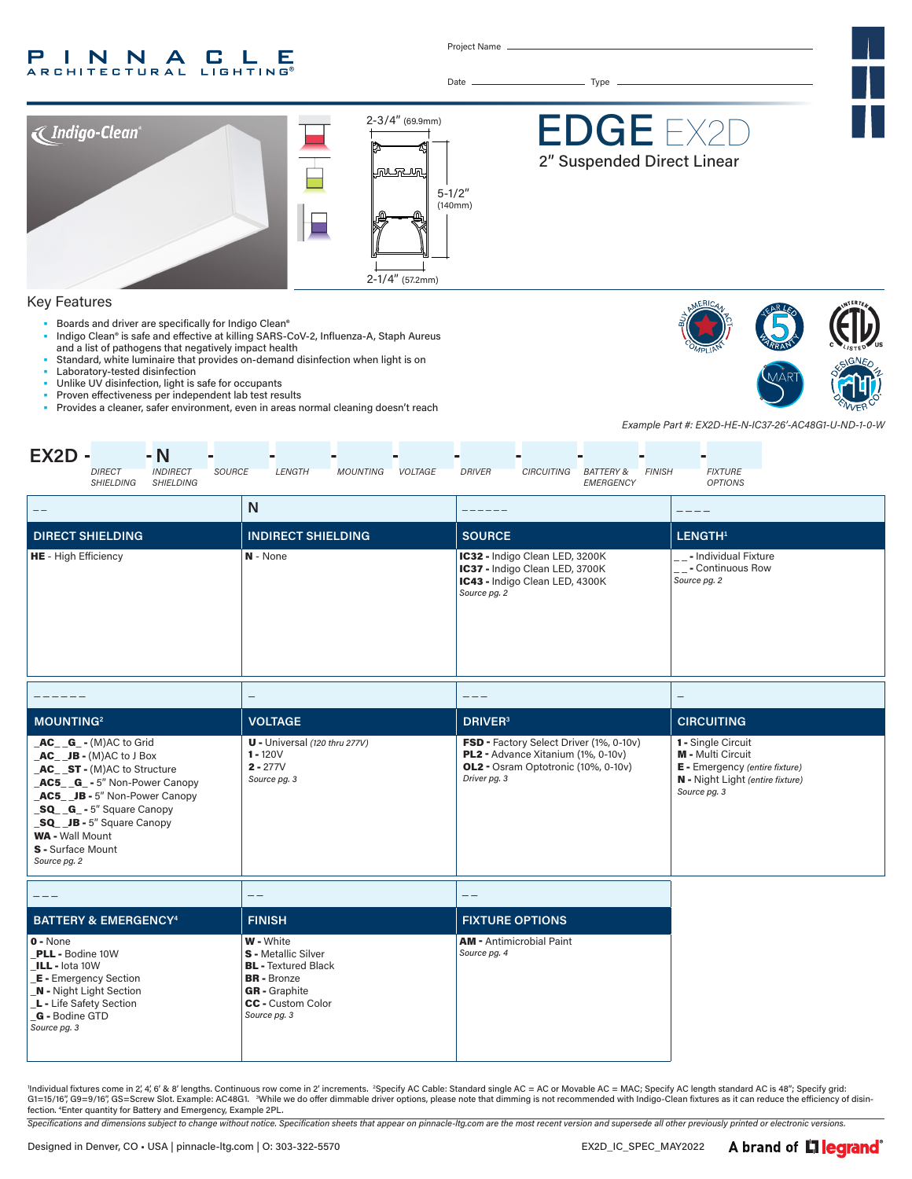#### P INNA LE C . **RCHITECTURAL** LIGHTING®

Project Name

Date Type

 $2 - 3/4"$  (69.9mm) DGI **Thdigo-Clean**® 2" Suspended Direct Linear <u>munang</u> 5-1/2" (140mm) 2-1/4" (57.2mm) 2-1/4" (57.2mm)

#### Key Features

- Boards and driver are specifically for Indigo Clean®
- Indigo Clean® is safe and effective at killing SARS-CoV-2, Influenza-A, Staph Aureus and a list of pathogens that negatively impact health
- Standard, white luminaire that provides on-demand disinfection when light is on Laboratory-tested disinfection
- Unlike UV disinfection, light is safe for occupants
- Proven effectiveness per independent lab test results<br>• Provides a cleaner safer environment, even in areas n
- Provides a cleaner, safer environment, even in areas normal cleaning doesn't reach



*Example Part #: EX2D-HE-N-IC37-26'-AC48G1-U-ND-1-0-W*

| $EX2D -$<br>$-N$<br><b>INDIRECT</b><br><b>SOURCE</b><br><b>DIRECT</b><br><b>SHIELDING</b><br><b>SHIELDING</b>                                                                                                                                                                      | <b>LENGTH</b><br><b>MOUNTING</b><br><b>VOLTAGE</b>                                                                                                       | <b>DRIVER</b><br><b>CIRCUITING</b><br><b>BATTERY &amp;</b><br><b>FINISH</b><br><b>EMERGENCY</b>                                      | <b>FIXTURE</b><br><b>OPTIONS</b>                                                                                              |
|------------------------------------------------------------------------------------------------------------------------------------------------------------------------------------------------------------------------------------------------------------------------------------|----------------------------------------------------------------------------------------------------------------------------------------------------------|--------------------------------------------------------------------------------------------------------------------------------------|-------------------------------------------------------------------------------------------------------------------------------|
| $\qquad \qquad -$                                                                                                                                                                                                                                                                  | $\mathsf{N}$                                                                                                                                             |                                                                                                                                      |                                                                                                                               |
| <b>DIRECT SHIELDING</b>                                                                                                                                                                                                                                                            | <b>INDIRECT SHIELDING</b>                                                                                                                                | <b>SOURCE</b>                                                                                                                        | LENGTH <sup>1</sup>                                                                                                           |
| <b>HE</b> - High Efficiency                                                                                                                                                                                                                                                        | N - None                                                                                                                                                 | IC32 - Indigo Clean LED, 3200K<br>IC37 - Indigo Clean LED, 3700K<br>IC43 - Indigo Clean LED, 4300K<br>Source pg. 2                   | __- Individual Fixture<br>__- Continuous Row<br>Source pg. 2                                                                  |
|                                                                                                                                                                                                                                                                                    | $\overline{\phantom{0}}$                                                                                                                                 | $---$                                                                                                                                |                                                                                                                               |
| <b>MOUNTING2</b>                                                                                                                                                                                                                                                                   | <b>VOLTAGE</b>                                                                                                                                           | <b>DRIVER</b> <sup>3</sup>                                                                                                           | <b>CIRCUITING</b>                                                                                                             |
| $AC$ <sub>G</sub> -(M)AC to Grid<br>$AC$ $JB - (M)AC$ to J Box<br>AC_ST-(M)AC to Structure<br>AC5 G - 5" Non-Power Canopy<br>AC5 JB - 5" Non-Power Canopy<br>SQ G - 5" Square Canopy<br>SQ __ JB - 5" Square Canopy<br><b>WA - Wall Mount</b><br>S - Surface Mount<br>Source pg. 2 | $U$ - Universal (120 thru 277V)<br>$1 - 120V$<br>$2 - 277V$<br>Source pg. 3                                                                              | FSD - Factory Select Driver (1%, 0-10v)<br>PL2 - Advance Xitanium (1%, 0-10v)<br>OL2 - Osram Optotronic (10%, 0-10v)<br>Driver pg. 3 | 1 - Single Circuit<br>M - Multi Circuit<br>E - Emergency (entire fixture)<br>N - Night Light (entire fixture)<br>Source pg. 3 |
|                                                                                                                                                                                                                                                                                    | $\qquad -$                                                                                                                                               | $- -$                                                                                                                                |                                                                                                                               |
| <b>BATTERY &amp; EMERGENCY<sup>4</sup></b>                                                                                                                                                                                                                                         | <b>FINISH</b>                                                                                                                                            | <b>FIXTURE OPTIONS</b>                                                                                                               |                                                                                                                               |
| $0 - None$<br>PLL - Bodine 10W<br>ILL - lota 10W<br><b>E</b> - Emergency Section<br><b>N</b> - Night Light Section<br>L - Life Safety Section<br>G - Bodine GTD<br>Source pg. 3                                                                                                    | <b>W</b> - White<br>S - Metallic Silver<br><b>BL</b> - Textured Black<br><b>BR</b> - Bronze<br><b>GR</b> - Graphite<br>CC - Custom Color<br>Source pg. 3 | <b>AM - Antimicrobial Paint</b><br>Source pg. 4                                                                                      |                                                                                                                               |

'Individual fixtures come in 2, 4', 6' & 8' lengths. Continuous row come in 2' increments. "Specify AC Cable: Standard single AC = AC or Movable AC = MAC; Specify AC length standard AC is 48"; Specify grid: G1=15/16″, G9=9/16″, GS=Screw Slot. Example: AC48G1. <sup>3</sup>While we do offer dimmable driver options, please note that dimming is not recommended with Indigo-Clean fixtures as it can reduce the efficiency of disin-<br>fection.

*Specifications and dimensions subject to change without notice. Specification sheets that appear on pinnacle-ltg.com are the most recent version and supersede all other previously printed or electronic versions.*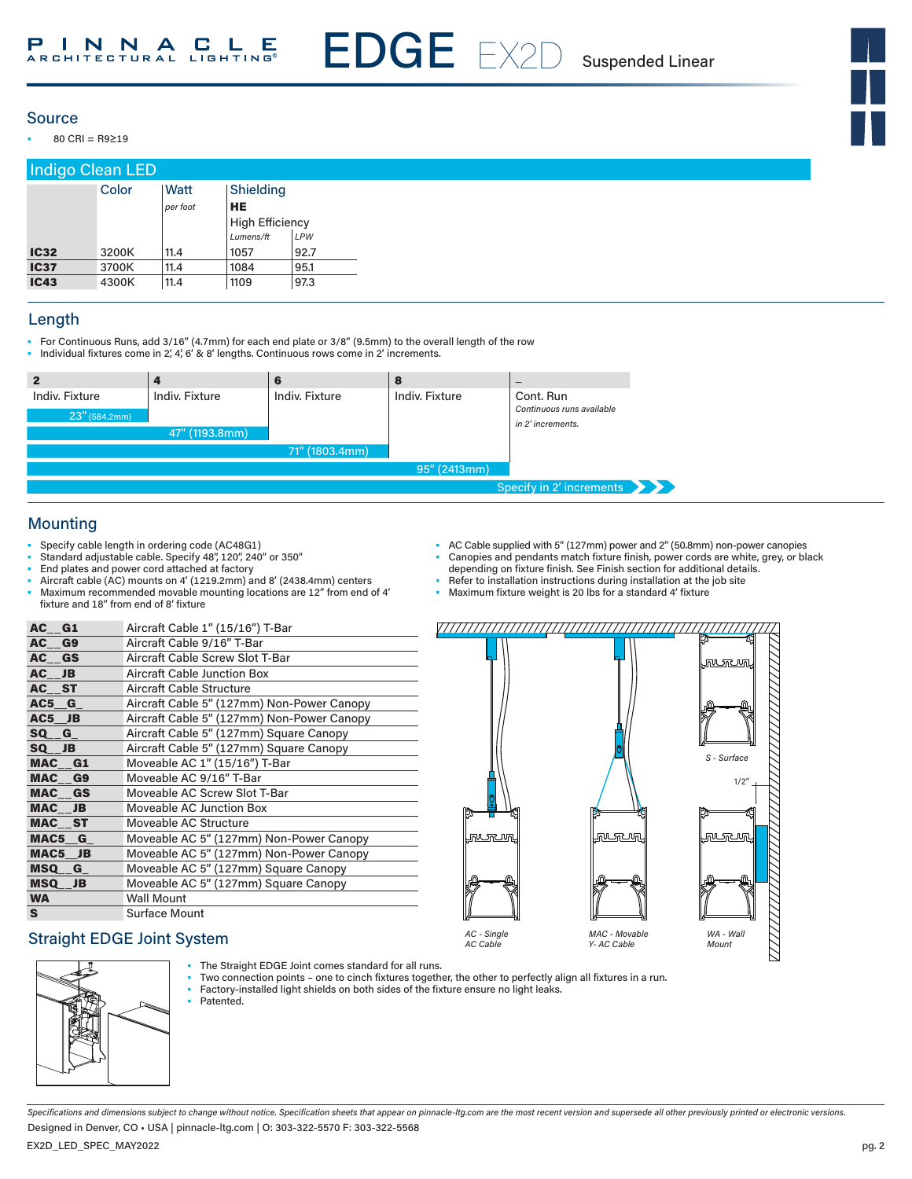EDGE EX2D Suspended Linear

## Source

• 80 CRI = R9≥19

| Indigo Clean LED |       |          |                        |      |  |  |  |  |
|------------------|-------|----------|------------------------|------|--|--|--|--|
|                  | Color | Watt     | Shielding              |      |  |  |  |  |
|                  |       | per foot | <b>HE</b>              |      |  |  |  |  |
|                  |       |          | <b>High Efficiency</b> |      |  |  |  |  |
|                  |       |          | Lumens/ft              | LPW  |  |  |  |  |
| <b>IC32</b>      | 3200K | 11.4     | 1057                   | 92.7 |  |  |  |  |
| <b>IC37</b>      | 3700K | 11.4     | 1084                   | 95.1 |  |  |  |  |
| <b>IC43</b>      | 4300K | 11.4     | 1109                   | 97.3 |  |  |  |  |

#### Length

- For Continuous Runs, add 3/16" (4.7mm) for each end plate or 3/8" (9.5mm) to the overall length of the row<br>• Individual fixtures come in 2', 4', 6' & 8' lengths. Continuous rows come in 2' increments.
- Individual fixtures come in 2, 4, 6' & 8' lengths. Continuous rows come in 2' increments.



## Mounting

- Specify cable length in ordering code (AC48G1)
- Standard adjustable cable. Specify 48", 120", 240" or 350"
- End plates and power cord attached at factory
- Aircraft cable (AC) mounts on 4' (1219.2mm) and 8' (2438.4mm) centers
- Maximum recommended movable mounting locations are 12" from end of 4' fixture and 18" from end of 8' fixture

| AC G1     | Aircraft Cable 1" (15/16") T-Bar           |
|-----------|--------------------------------------------|
| AC G9     | Aircraft Cable 9/16" T-Bar                 |
| AC GS     | Aircraft Cable Screw Slot T-Bar            |
| AC JB     | <b>Aircraft Cable Junction Box</b>         |
| AC ST     | Aircraft Cable Structure                   |
| AC5 G     | Aircraft Cable 5" (127mm) Non-Power Canopy |
| AC5 JB    | Aircraft Cable 5" (127mm) Non-Power Canopy |
| SQ G      | Aircraft Cable 5" (127mm) Square Canopy    |
| SQ JB     | Aircraft Cable 5" (127mm) Square Canopy    |
| MAC G1    | Moveable AC 1" (15/16") T-Bar              |
| MAC G9    | Moveable AC 9/16" T-Bar                    |
| MAC GS    | Moveable AC Screw Slot T-Bar               |
| MAC JB    | Moveable AC Junction Box                   |
| MAC ST    | Moveable AC Structure                      |
| MAC5 G    | Moveable AC 5" (127mm) Non-Power Canopy    |
| MAC5 JB   | Moveable AC 5" (127mm) Non-Power Canopy    |
| MSQ G     | Moveable AC 5" (127mm) Square Canopy       |
| MSQ JB    | Moveable AC 5" (127mm) Square Canopy       |
| <b>WA</b> | <b>Wall Mount</b>                          |
| S.        | <b>Surface Mount</b>                       |

## Straight EDGE Joint System



- The Straight EDGE Joint comes standard for all runs.
- Two connection points one to cinch fixtures together, the other to perfectly align all fixtures in a run.

*AC Cable*

- Factory-installed light shields on both sides of the fixture ensure no light leaks.
- Patented.
- AC Cable supplied with 5" (127mm) power and 2" (50.8mm) non-power canopies
- Canopies and pendants match fixture finish, power cords are white, grey, or black
- depending on fixture finish. See Finish section for additional details.
- Refer to installation instructions during installation at the job site • Maximum fixture weight is 20 lbs for a standard 4' fixture
- 



*Y- AC Cable*

*Mount*

*Specifications and dimensions subject to change without notice. Specification sheets that appear on pinnacle-ltg.com are the most recent version and supersede all other previously printed or electronic versions.* Designed in Denver, CO • USA | pinnacle-ltg.com | O: 303-322-5570 F: 303-322-5568

EX2D\_LED\_SPEC\_MAY2022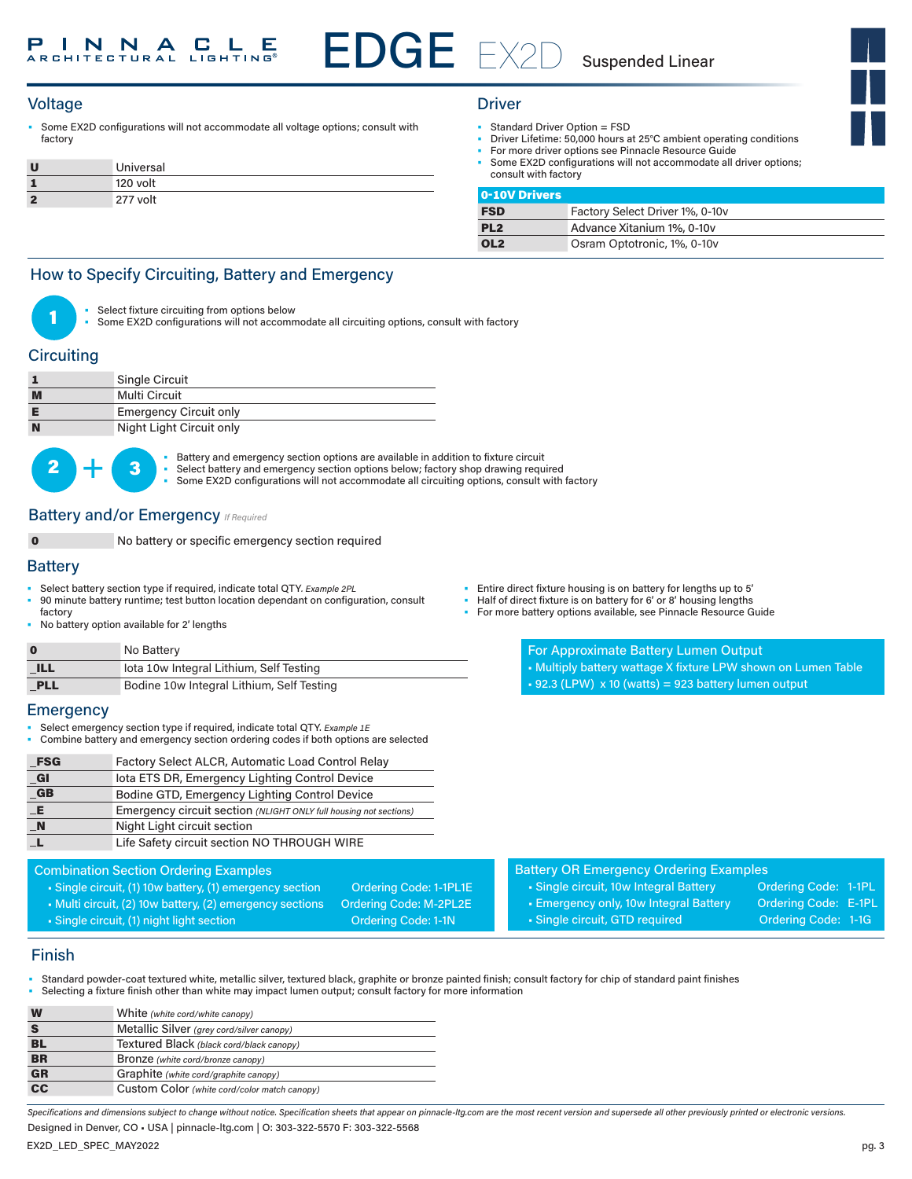## Voltage Driver

• Some EX2D configurations will not accommodate all voltage options; consult with factory

| U  | Universal |
|----|-----------|
|    | 120 volt  |
| -2 | 277 volt  |

- Standard Driver Option = FSD
	- Driver Lifetime: 50,000 hours at 25°C ambient operating conditions
- For more driver options see Pinnacle Resource Guide
- Some EX2D configurations will not accommodate all driver options; consult with factory

| 0-10V Drivers   |                                 |
|-----------------|---------------------------------|
| <b>FSD</b>      | Factory Select Driver 1%, 0-10v |
| PL <sub>2</sub> | Advance Xitanium 1%, 0-10y      |
| OL <sub>2</sub> | Osram Optotronic, 1%, 0-10v     |

## How to Specify Circuiting, Battery and Emergency



Select fixture circuiting from options below

Some EX2D configurations will not accommodate all circuiting options, consult with factory

## **Circuiting**

| <b>Single Circuit</b>         |
|-------------------------------|
| Multi Circuit                 |
| <b>Emergency Circuit only</b> |
| Night Light Circuit only      |



• Battery and emergency section options are available in addition to fixture circuit<br>• Select battery and emergency section options below; factory shop drawing required Some EX2D configurations will not accommodate all circuiting options, consult with factory

## **Battery and/or Emergency** *If Required*

No battery or specific emergency section required

#### **Battery**

- Select battery section type if required, indicate total QTY*. Example 2PL* • 90 minute battery runtime; test button location dependant on configuration, consult
- factory
- No battery option available for 2' lengths

| $\bf{0}$   | No Battery                                |
|------------|-------------------------------------------|
| <b>ILL</b> | lota 10w Integral Lithium, Self Testing   |
| PLL        | Bodine 10w Integral Lithium, Self Testing |

#### **Emergency**

- Select emergency section type if required, indicate total QTY. *Example 1E*
- Combine battery and emergency section ordering codes if both options are selected

| _FSG                 | Factory Select ALCR, Automatic Load Control Relay                 |
|----------------------|-------------------------------------------------------------------|
| $_{\blacksquare}$ Gl | lota ETS DR, Emergency Lighting Control Device                    |
| $G$ B                | Bodine GTD, Emergency Lighting Control Device                     |
| E                    | Emergency circuit section (NLIGHT ONLY full housing not sections) |
| $\blacksquare$ N     | Night Light circuit section                                       |
|                      | Life Safety circuit section NO THROUGH WIRE                       |

## Combination Section Ordering Examples

- Single circuit, (1) 10w battery, (1) emergency section Ordering Code: 1-1PL1E
- Multi circuit, (2) 10w battery, (2) emergency sections Ordering Code: M-2PL2E • Single circuit, (1) night light section Contact Code: 1-1N

- Entire direct fixture housing is on battery for lengths up to 5'
- Half of direct fixture is on battery for 6' or 8' housing lengths
- For more battery options available, see Pinnacle Resource Guide

For Approximate Battery Lumen Output

- Multiply battery wattage X fixture LPW shown on Lumen Table
- $\text{-}$  92.3 (LPW) x 10 (watts) = 923 battery lumen output

| <b>Battery OR Emergency Ordering Examples</b> |                      |  |
|-----------------------------------------------|----------------------|--|
| I • Single circuit, 10w Integral Battery      | Ordering Code: 1-1PL |  |

- 
- 
- Emergency only, 10w Integral Battery Ordering Code: E-1PL • Single circuit, GTD required **Ordering Code: 1-1G**

## Finish

- Standard powder-coat textured white, metallic silver, textured black, graphite or bronze painted finish; consult factory for chip of standard paint finishes
- Selecting a fixture finish other than white may impact lumen output; consult factory for more information

| W                                 | White (white cord/white canopy)              |
|-----------------------------------|----------------------------------------------|
|                                   | Metallic Silver (grey cord/silver canopy)    |
| BL                                | Textured Black (black cord/black canopy)     |
| <b>BR</b>                         | Bronze (white cord/bronze canopy)            |
| <b>GR</b>                         | Graphite (white cord/graphite canopy)        |
| $\overline{\mathbf{c}\mathbf{c}}$ | Custom Color (white cord/color match canopy) |
|                                   |                                              |

*Specifications and dimensions subject to change without notice. Specification sheets that appear on pinnacle-ltg.com are the most recent version and supersede all other previously printed or electronic versions.* Designed in Denver, CO • USA | pinnacle-ltg.com | O: 303-322-5570 F: 303-322-5568